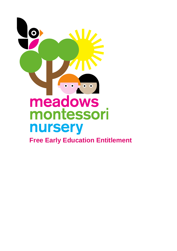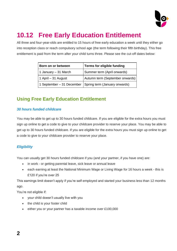

# **10.12 Free Early Education Entitlement**

All three and four-year-olds are entitled to 15 hours of free early education a week until they either go into reception class or reach compulsory school age (the term following their fifth birthday). This free entitlement is paid from the term after your child turns three. Please see the cut-off dates below:

| Born on or between   | Terms for eligible funding                                |
|----------------------|-----------------------------------------------------------|
| 1 January - 31 March | Summer term (April onwards)                               |
| 1 April - 31 August  | Autumn term (September onwards)                           |
|                      | 1 September – 31 December   Spring term (January onwards) |

### **Using Free Early Education Entitlement**

#### *30 hours funded childcare*

You may be able to get up to 30 hours funded childcare. If you are eligible for the extra hours you must sign up online to get a code to give to your childcare provider to reserve your place. You may be able to get up to 30 hours funded childcare. If you are eligible for the extra hours you must sign up online to get a code to give to your childcare provider to reserve your place.

#### *Eligibility*

You can usually get 30 hours funded childcare if you (and your partner, if you have one) are:

- in work or getting parental leave, sick leave or annual leave
- each earning at least the [National Minimum Wage or Living Wage](https://www.gov.uk/national-minimum-wage-rates) for 16 hours a week this is £120 if you're over 25

This earnings limit doesn't apply if you're self-employed and started your business less than 12 months ago.

You're not eligible if:

- your child doesn't usually live with you
- the child is your foster child
- either you or your partner has a [taxable income](https://www.gov.uk/income-tax) over £100,000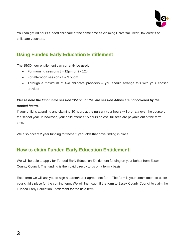

You can get 30 hours funded childcare at the same time as claiming Universal Credit, tax credits or childcare vouchers.

### **Using Funded Early Education Entitlement**

The 15/30 hour entitlement can currently be used:

- For morning sessions 8 12pm or 9 12pm
- For afternoon sessions 1 3.50pm
- Through a maximum of two childcare providers you should arrange this with your chosen provider

#### *Please note the lunch time session 12-1pm or the late session 4-6pm are not covered by the funded hours.*

If your child is attending and claiming 30 hours at the nursery your hours will pro-rata over the course of the school year. If, however, your child attends 15 hours or less, full fees are payable out of the term time.

We also accept 2 year funding for those 2 year olds that have finding in place.

### **How to claim Funded Early Education Entitlement**

We will be able to apply for Funded Early Education Entitlement funding on your behalf from Essex County Council. The funding is then paid directly to us on a termly basis.

Each term we will ask you to sign a parent/carer agreement form. The form is your commitment to us for your child's place for the coming term. We will then submit the form to Essex County Council to claim the Funded Early Education Entitlement for the next term.